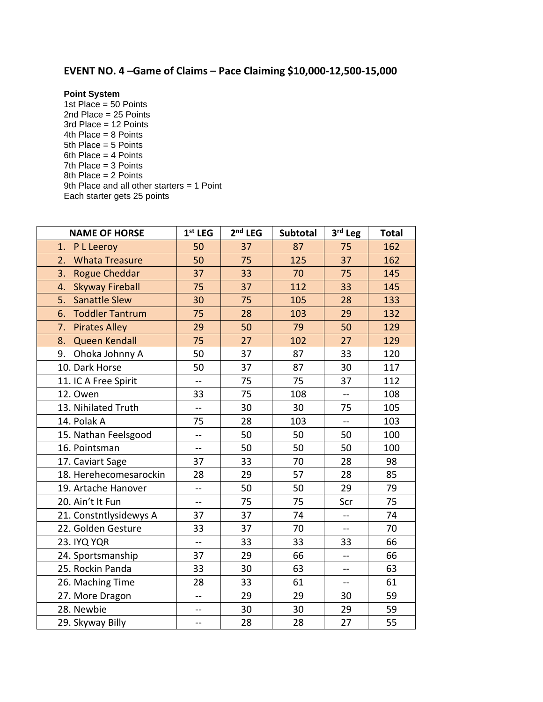## **EVENT NO. 4 –Game of Claims – Pace Claiming \$10,000-12,500-15,000**

**Point System**

1st Place =  $50$  Points 2nd Place = 25 Points 3rd Place = 12 Points 4th Place = 8 Points 5th Place = 5 Points 6th Place = 4 Points 7th Place = 3 Points 8th Place = 2 Points 9th Place and all other starters = 1 Point Each starter gets 25 points

| <b>NAME OF HORSE</b>         | $1st$ LEG                | $2nd$ LEG | Subtotal | 3rd Leg                  | <b>Total</b> |
|------------------------------|--------------------------|-----------|----------|--------------------------|--------------|
| P L Leeroy<br>1.             | 50                       | 37        | 87       | 75                       | 162          |
| 2.<br><b>Whata Treasure</b>  | 50                       | 75        | 125      | 37                       | 162          |
| 3.<br><b>Rogue Cheddar</b>   | 37                       | 33        | 70       | 75                       | 145          |
| <b>Skyway Fireball</b><br>4. | 75                       | 37        | 112      | 33                       | 145          |
| <b>Sanattle Slew</b><br>5.   | 30                       | 75        | 105      | 28                       | 133          |
| <b>Toddler Tantrum</b><br>6. | 75                       | 28        | 103      | 29                       | 132          |
| 7.<br><b>Pirates Alley</b>   | 29                       | 50        | 79       | 50                       | 129          |
| Queen Kendall<br>8.          | 75                       | 27        | 102      | 27                       | 129          |
| 9.<br>Ohoka Johnny A         | 50                       | 37        | 87       | 33                       | 120          |
| 10. Dark Horse               | 50                       | 37        | 87       | 30                       | 117          |
| 11. IC A Free Spirit         | --                       | 75        | 75       | 37                       | 112          |
| 12. Owen                     | 33                       | 75        | 108      | $\overline{a}$           | 108          |
| 13. Nihilated Truth          | --                       | 30        | 30       | 75                       | 105          |
| 14. Polak A                  | 75                       | 28        | 103      | $\overline{a}$           | 103          |
| 15. Nathan Feelsgood         | --                       | 50        | 50       | 50                       | 100          |
| 16. Pointsman                | $\overline{a}$           | 50        | 50       | 50                       | 100          |
| 17. Caviart Sage             | 37                       | 33        | 70       | 28                       | 98           |
| 18. Herehecomesarockin       | 28                       | 29        | 57       | 28                       | 85           |
| 19. Artache Hanover          | --                       | 50        | 50       | 29                       | 79           |
| 20. Ain't It Fun             | $\overline{a}$           | 75        | 75       | Scr                      | 75           |
| 21. Constntlysidewys A       | 37                       | 37        | 74       | $\overline{\phantom{a}}$ | 74           |
| 22. Golden Gesture           | 33                       | 37        | 70       | $-$                      | 70           |
| 23. IYQ YQR                  | --                       | 33        | 33       | 33                       | 66           |
| 24. Sportsmanship            | 37                       | 29        | 66       | щ,                       | 66           |
| 25. Rockin Panda             | 33                       | 30        | 63       | --                       | 63           |
| 26. Maching Time             | 28                       | 33        | 61       | $\overline{a}$           | 61           |
| 27. More Dragon              | $\overline{a}$           | 29        | 29       | 30                       | 59           |
| 28. Newbie                   | $\overline{\phantom{a}}$ | 30        | 30       | 29                       | 59           |
| 29. Skyway Billy             | --                       | 28        | 28       | 27                       | 55           |